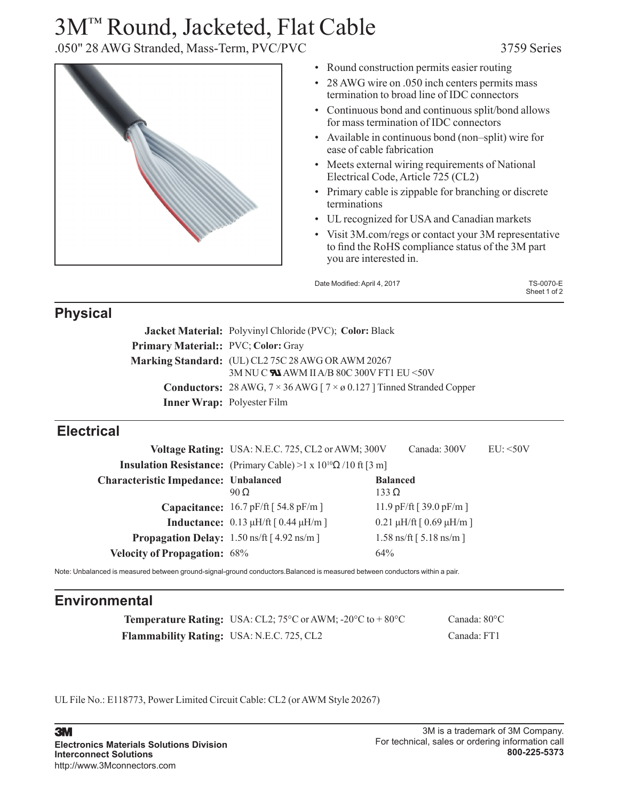# 3M™ Round, Jacketed, Flat Cable

.050" 28 AWG Stranded, Mass-Term, PVC/PVC 3759 Series



- Round construction permits easier routing
- 28 AWG wire on .050 inch centers permits mass termination to broad line of IDC connectors
- Continuous bond and continuous split/bond allows for mass termination of IDC connectors
- Available in continuous bond (non–split) wire for ease of cable fabrication
- Meets external wiring requirements of National Electrical Code, Article 725 (CL2)
- Primary cable is zippable for branching or discrete terminations
- UL recognized for USA and Canadian markets
- Visit 3M.com/regs or contact your 3M representative to find the RoHS compliance status of the 3M part you are interested in.

| Date Modified: April 4, 2017 | <b>TS-0070-E</b> |
|------------------------------|------------------|
|                              | Sheet 1 of 2     |

### **Physical**

|                                            | <b>Jacket Material:</b> Polyvinyl Chloride (PVC); Color: Black                           |
|--------------------------------------------|------------------------------------------------------------------------------------------|
| <b>Primary Material:: PVC; Color: Gray</b> |                                                                                          |
|                                            | Marking Standard: (UL) CL2 75C 28 AWG OR AWM 20267                                       |
|                                            | 3M NU C WA AWM II A/B 80C 300V FT1 EU <50V                                               |
|                                            | <b>Conductors:</b> 28 AWG, $7 \times 36$ AWG [ $7 \times 0.127$ ] Tinned Stranded Copper |
|                                            | Inner Wrap: Polyester Film                                                               |

#### **Electrical**

|                                                            | Voltage Rating: USA: N.E.C. 725, CL2 or AWM; 300V                                         | Canada: 300V                              | EU: <50V |
|------------------------------------------------------------|-------------------------------------------------------------------------------------------|-------------------------------------------|----------|
|                                                            | <b>Insulation Resistance:</b> (Primary Cable) >1 x 10 <sup>10</sup> $\Omega$ /10 ft [3 m] |                                           |          |
| <b>Characteristic Impedance: Unbalanced</b>                | $90\Omega$                                                                                | <b>Balanced</b><br>$133 \Omega$           |          |
|                                                            | <b>Capacitance:</b> $16.7$ pF/ft $[54.8$ pF/m $]$                                         | 11.9 pF/ft [ $39.0$ pF/m ]                |          |
|                                                            | <b>Inductance:</b> $0.13 \mu H / \text{ft}$ [ $0.44 \mu H / \text{m}$ ]                   | $0.21 \mu H/\text{ft}$ [ 0.69 $\mu H/m$ ] |          |
| <b>Propagation Delay:</b> $1.50 \text{ ns/ft}$ [4.92 ns/m] |                                                                                           | $1.58 \text{ ns/ft}$ [ 5.18 ns/m ]        |          |
| <b>Velocity of Propagation: 68%</b>                        |                                                                                           | 64%                                       |          |

Note: Unbalanced is measured between ground-signal-ground conductors.Balanced is measured between conductors within a pair.

## **Environmental**

**Temperature Rating:** USA: CL2; 75°C or AWM; -20°C to + 80°C Canada: 80°C **Flammability Rating:** USA: N.E.C. 725, CL2 Canada: FT1

UL File No.: E118773, Power Limited Circuit Cable: CL2 (or AWM Style 20267)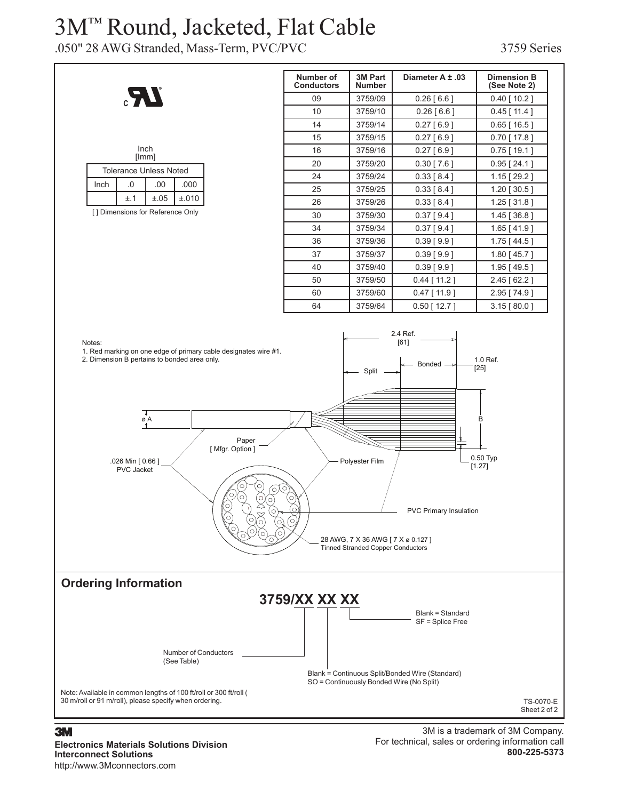## 3M™ Round, Jacketed, Flat Cable

.050" 28 AWG Stranded, Mass-Term, PVC/PVC 3759 Series



#### **3M**

**Electronics Materials Solutions Division Interconnect Solutions** http://www.3Mconnectors.com

3M is a trademark of 3M Company. For technical, sales or ordering information call **800-225-5373**